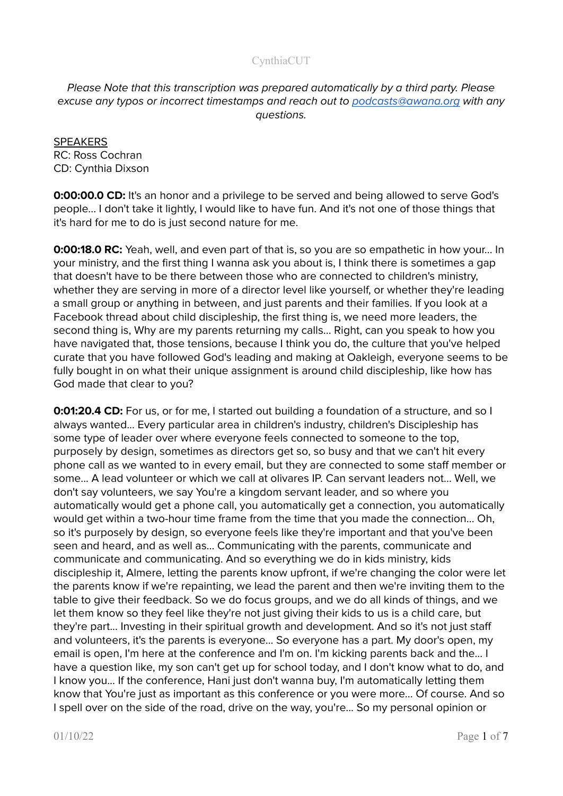Please Note that this transcription was prepared automatically by a third party. Please excuse any typos or incorrect timestamps and reach out to [podcasts@awana.org](mailto:podcasts@awana.org) with any questions.

**SPEAKERS** RC: Ross Cochran CD: Cynthia Dixson

**0:00:00.0 CD:** It's an honor and a privilege to be served and being allowed to serve God's people... I don't take it lightly, I would like to have fun. And it's not one of those things that it's hard for me to do is just second nature for me.

**0:00:18.0 RC:** Yeah, well, and even part of that is, so you are so empathetic in how your... In your ministry, and the first thing I wanna ask you about is, I think there is sometimes a gap that doesn't have to be there between those who are connected to children's ministry, whether they are serving in more of a director level like yourself, or whether they're leading a small group or anything in between, and just parents and their families. If you look at a Facebook thread about child discipleship, the first thing is, we need more leaders, the second thing is, Why are my parents returning my calls... Right, can you speak to how you have navigated that, those tensions, because I think you do, the culture that you've helped curate that you have followed God's leading and making at Oakleigh, everyone seems to be fully bought in on what their unique assignment is around child discipleship, like how has God made that clear to you?

**0:01:20.4 CD:** For us, or for me, I started out building a foundation of a structure, and so I always wanted... Every particular area in children's industry, children's Discipleship has some type of leader over where everyone feels connected to someone to the top, purposely by design, sometimes as directors get so, so busy and that we can't hit every phone call as we wanted to in every email, but they are connected to some staff member or some... A lead volunteer or which we call at olivares IP. Can servant leaders not... Well, we don't say volunteers, we say You're a kingdom servant leader, and so where you automatically would get a phone call, you automatically get a connection, you automatically would get within a two-hour time frame from the time that you made the connection... Oh, so it's purposely by design, so everyone feels like they're important and that you've been seen and heard, and as well as... Communicating with the parents, communicate and communicate and communicating. And so everything we do in kids ministry, kids discipleship it, Almere, letting the parents know upfront, if we're changing the color were let the parents know if we're repainting, we lead the parent and then we're inviting them to the table to give their feedback. So we do focus groups, and we do all kinds of things, and we let them know so they feel like they're not just giving their kids to us is a child care, but they're part... Investing in their spiritual growth and development. And so it's not just staff and volunteers, it's the parents is everyone... So everyone has a part. My door's open, my email is open, I'm here at the conference and I'm on. I'm kicking parents back and the... I have a question like, my son can't get up for school today, and I don't know what to do, and I know you... If the conference, Hani just don't wanna buy, I'm automatically letting them know that You're just as important as this conference or you were more... Of course. And so I spell over on the side of the road, drive on the way, you're... So my personal opinion or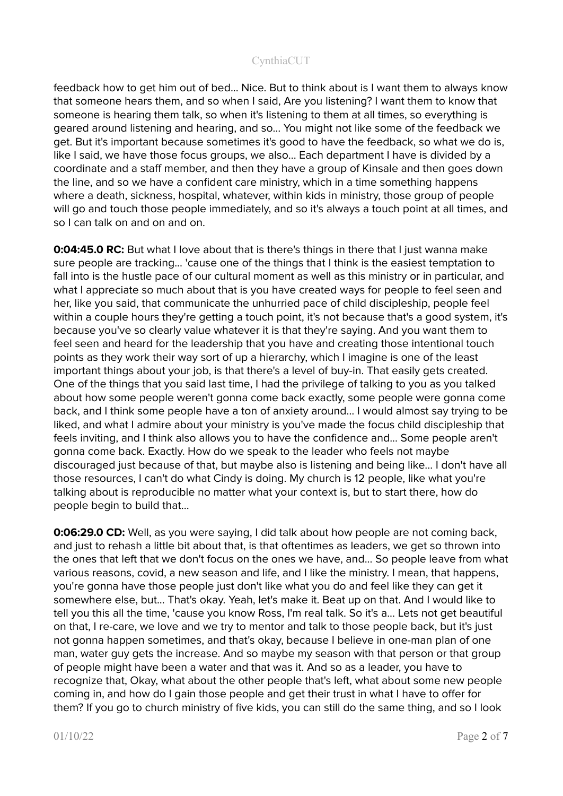feedback how to get him out of bed... Nice. But to think about is I want them to always know that someone hears them, and so when I said, Are you listening? I want them to know that someone is hearing them talk, so when it's listening to them at all times, so everything is geared around listening and hearing, and so… You might not like some of the feedback we get. But it's important because sometimes it's good to have the feedback, so what we do is, like I said, we have those focus groups, we also... Each department I have is divided by a coordinate and a staff member, and then they have a group of Kinsale and then goes down the line, and so we have a confident care ministry, which in a time something happens where a death, sickness, hospital, whatever, within kids in ministry, those group of people will go and touch those people immediately, and so it's always a touch point at all times, and so I can talk on and on and on.

**0:04:45.0 RC:** But what I love about that is there's things in there that I just wanna make sure people are tracking... 'cause one of the things that I think is the easiest temptation to fall into is the hustle pace of our cultural moment as well as this ministry or in particular, and what I appreciate so much about that is you have created ways for people to feel seen and her, like you said, that communicate the unhurried pace of child discipleship, people feel within a couple hours they're getting a touch point, it's not because that's a good system, it's because you've so clearly value whatever it is that they're saying. And you want them to feel seen and heard for the leadership that you have and creating those intentional touch points as they work their way sort of up a hierarchy, which I imagine is one of the least important things about your job, is that there's a level of buy-in. That easily gets created. One of the things that you said last time, I had the privilege of talking to you as you talked about how some people weren't gonna come back exactly, some people were gonna come back, and I think some people have a ton of anxiety around… I would almost say trying to be liked, and what I admire about your ministry is you've made the focus child discipleship that feels inviting, and I think also allows you to have the confidence and... Some people aren't gonna come back. Exactly. How do we speak to the leader who feels not maybe discouraged just because of that, but maybe also is listening and being like... I don't have all those resources, I can't do what Cindy is doing. My church is 12 people, like what you're talking about is reproducible no matter what your context is, but to start there, how do people begin to build that...

**0:06:29.0 CD:** Well, as you were saying, I did talk about how people are not coming back, and just to rehash a little bit about that, is that oftentimes as leaders, we get so thrown into the ones that left that we don't focus on the ones we have, and... So people leave from what various reasons, covid, a new season and life, and I like the ministry. I mean, that happens, you're gonna have those people just don't like what you do and feel like they can get it somewhere else, but... That's okay. Yeah, let's make it. Beat up on that. And I would like to tell you this all the time, 'cause you know Ross, I'm real talk. So it's a... Lets not get beautiful on that, I re-care, we love and we try to mentor and talk to those people back, but it's just not gonna happen sometimes, and that's okay, because I believe in one-man plan of one man, water guy gets the increase. And so maybe my season with that person or that group of people might have been a water and that was it. And so as a leader, you have to recognize that, Okay, what about the other people that's left, what about some new people coming in, and how do I gain those people and get their trust in what I have to offer for them? If you go to church ministry of five kids, you can still do the same thing, and so I look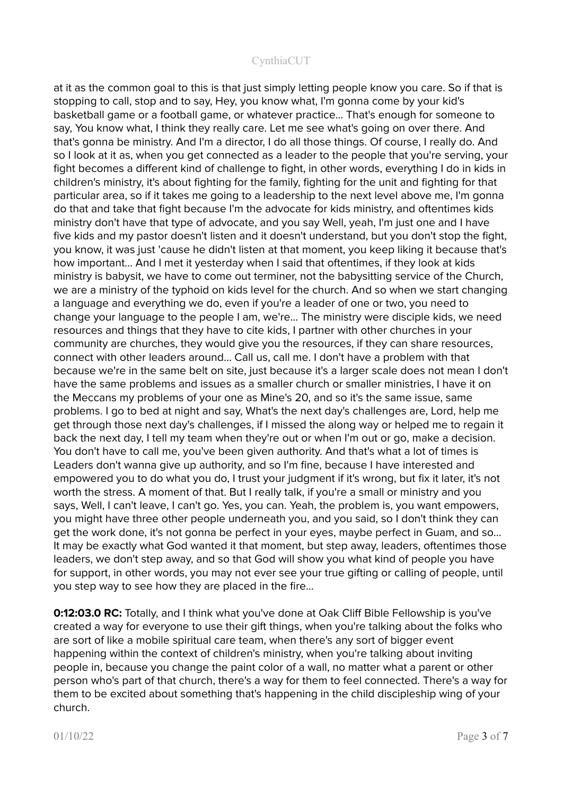at it as the common goal to this is that just simply letting people know you care. So if that is stopping to call, stop and to say, Hey, you know what, I'm gonna come by your kid's basketball game or a football game, or whatever practice... That's enough for someone to say, You know what, I think they really care. Let me see what's going on over there. And that's gonna be ministry. And I'm a director, I do all those things. Of course, I really do. And so I look at it as, when you get connected as a leader to the people that you're serving, your fight becomes a different kind of challenge to fight, in other words, everything I do in kids in children's ministry, it's about fighting for the family, fighting for the unit and fighting for that particular area, so if it takes me going to a leadership to the next level above me, I'm gonna do that and take that fight because I'm the advocate for kids ministry, and oftentimes kids ministry don't have that type of advocate, and you say Well, yeah, I'm just one and I have five kids and my pastor doesn't listen and it doesn't understand, but you don't stop the fight, you know, it was just 'cause he didn't listen at that moment, you keep liking it because that's how important… And I met it yesterday when I said that oftentimes, if they look at kids ministry is babysit, we have to come out terminer, not the babysitting service of the Church, we are a ministry of the typhoid on kids level for the church. And so when we start changing a language and everything we do, even if you're a leader of one or two, you need to change your language to the people I am, we're... The ministry were disciple kids, we need resources and things that they have to cite kids, I partner with other churches in your community are churches, they would give you the resources, if they can share resources, connect with other leaders around... Call us, call me. I don't have a problem with that because we're in the same belt on site, just because it's a larger scale does not mean I don't have the same problems and issues as a smaller church or smaller ministries, I have it on the Meccans my problems of your one as Mine's 20, and so it's the same issue, same problems. I go to bed at night and say, What's the next day's challenges are, Lord, help me get through those next day's challenges, if I missed the along way or helped me to regain it back the next day, I tell my team when they're out or when I'm out or go, make a decision. You don't have to call me, you've been given authority. And that's what a lot of times is Leaders don't wanna give up authority, and so I'm fine, because I have interested and empowered you to do what you do, I trust your judgment if it's wrong, but fix it later, it's not worth the stress. A moment of that. But I really talk, if you're a small or ministry and you says, Well, I can't leave, I can't go. Yes, you can. Yeah, the problem is, you want empowers, you might have three other people underneath you, and you said, so I don't think they can get the work done, it's not gonna be perfect in your eyes, maybe perfect in Guam, and so... It may be exactly what God wanted it that moment, but step away, leaders, oftentimes those leaders, we don't step away, and so that God will show you what kind of people you have for support, in other words, you may not ever see your true gifting or calling of people, until you step way to see how they are placed in the fire...

**0:12:03.0 RC:** Totally, and I think what you've done at Oak Cliff Bible Fellowship is you've created a way for everyone to use their gift things, when you're talking about the folks who are sort of like a mobile spiritual care team, when there's any sort of bigger event happening within the context of children's ministry, when you're talking about inviting people in, because you change the paint color of a wall, no matter what a parent or other person who's part of that church, there's a way for them to feel connected. There's a way for them to be excited about something that's happening in the child discipleship wing of your church.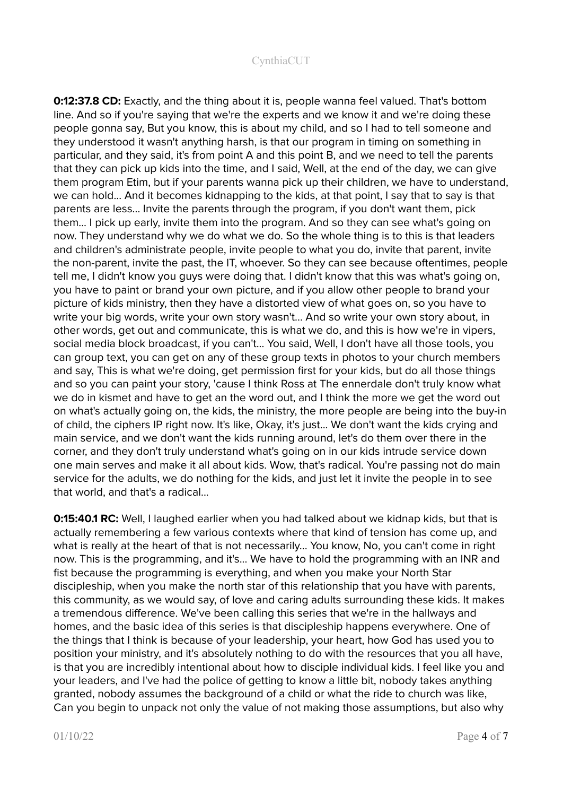**0:12:37.8 CD:** Exactly, and the thing about it is, people wanna feel valued. That's bottom line. And so if you're saying that we're the experts and we know it and we're doing these people gonna say, But you know, this is about my child, and so I had to tell someone and they understood it wasn't anything harsh, is that our program in timing on something in particular, and they said, it's from point A and this point B, and we need to tell the parents that they can pick up kids into the time, and I said, Well, at the end of the day, we can give them program Etim, but if your parents wanna pick up their children, we have to understand, we can hold... And it becomes kidnapping to the kids, at that point, I say that to say is that parents are less... Invite the parents through the program, if you don't want them, pick them... I pick up early, invite them into the program. And so they can see what's going on now. They understand why we do what we do. So the whole thing is to this is that leaders and children's administrate people, invite people to what you do, invite that parent, invite the non-parent, invite the past, the IT, whoever. So they can see because oftentimes, people tell me, I didn't know you guys were doing that. I didn't know that this was what's going on, you have to paint or brand your own picture, and if you allow other people to brand your picture of kids ministry, then they have a distorted view of what goes on, so you have to write your big words, write your own story wasn't... And so write your own story about, in other words, get out and communicate, this is what we do, and this is how we're in vipers, social media block broadcast, if you can't... You said, Well, I don't have all those tools, you can group text, you can get on any of these group texts in photos to your church members and say. This is what we're doing, get permission first for your kids, but do all those things and so you can paint your story, 'cause I think Ross at The ennerdale don't truly know what we do in kismet and have to get an the word out, and I think the more we get the word out on what's actually going on, the kids, the ministry, the more people are being into the buy-in of child, the ciphers IP right now. It's like, Okay, it's just... We don't want the kids crying and main service, and we don't want the kids running around, let's do them over there in the corner, and they don't truly understand what's going on in our kids intrude service down one main serves and make it all about kids. Wow, that's radical. You're passing not do main service for the adults, we do nothing for the kids, and just let it invite the people in to see that world, and that's a radical...

**0:15:40.1 RC:** Well, I laughed earlier when you had talked about we kidnap kids, but that is actually remembering a few various contexts where that kind of tension has come up, and what is really at the heart of that is not necessarily... You know, No, you can't come in right now. This is the programming, and it's... We have to hold the programming with an INR and fist because the programming is everything, and when you make your North Star discipleship, when you make the north star of this relationship that you have with parents, this community, as we would say, of love and caring adults surrounding these kids. It makes a tremendous difference. We've been calling this series that we're in the hallways and homes, and the basic idea of this series is that discipleship happens everywhere. One of the things that I think is because of your leadership, your heart, how God has used you to position your ministry, and it's absolutely nothing to do with the resources that you all have, is that you are incredibly intentional about how to disciple individual kids. I feel like you and your leaders, and I've had the police of getting to know a little bit, nobody takes anything granted, nobody assumes the background of a child or what the ride to church was like, Can you begin to unpack not only the value of not making those assumptions, but also why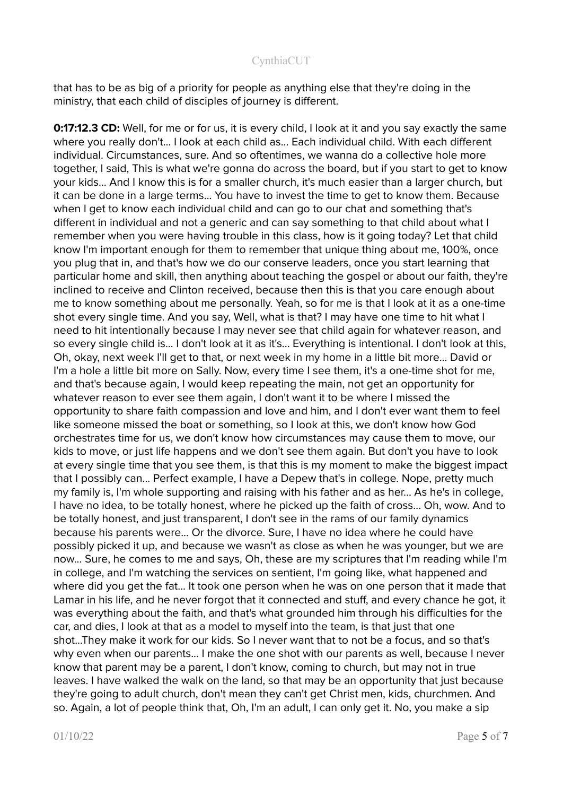that has to be as big of a priority for people as anything else that they're doing in the ministry, that each child of disciples of journey is different.

**0:17:12.3 CD:** Well, for me or for us, it is every child, I look at it and you say exactly the same where you really don't... I look at each child as... Each individual child. With each different individual. Circumstances, sure. And so oftentimes, we wanna do a collective hole more together, I said, This is what we're gonna do across the board, but if you start to get to know your kids... And I know this is for a smaller church, it's much easier than a larger church, but it can be done in a large terms... You have to invest the time to get to know them. Because when I get to know each individual child and can go to our chat and something that's different in individual and not a generic and can say something to that child about what I remember when you were having trouble in this class, how is it going today? Let that child know I'm important enough for them to remember that unique thing about me, 100%, once you plug that in, and that's how we do our conserve leaders, once you start learning that particular home and skill, then anything about teaching the gospel or about our faith, they're inclined to receive and Clinton received, because then this is that you care enough about me to know something about me personally. Yeah, so for me is that I look at it as a one-time shot every single time. And you say, Well, what is that? I may have one time to hit what I need to hit intentionally because I may never see that child again for whatever reason, and so every single child is... I don't look at it as it's... Everything is intentional. I don't look at this, Oh, okay, next week I'll get to that, or next week in my home in a little bit more... David or I'm a hole a little bit more on Sally. Now, every time I see them, it's a one-time shot for me, and that's because again, I would keep repeating the main, not get an opportunity for whatever reason to ever see them again, I don't want it to be where I missed the opportunity to share faith compassion and love and him, and I don't ever want them to feel like someone missed the boat or something, so I look at this, we don't know how God orchestrates time for us, we don't know how circumstances may cause them to move, our kids to move, or just life happens and we don't see them again. But don't you have to look at every single time that you see them, is that this is my moment to make the biggest impact that I possibly can... Perfect example, I have a Depew that's in college. Nope, pretty much my family is, I'm whole supporting and raising with his father and as her... As he's in college, I have no idea, to be totally honest, where he picked up the faith of cross... Oh, wow. And to be totally honest, and just transparent, I don't see in the rams of our family dynamics because his parents were... Or the divorce. Sure, I have no idea where he could have possibly picked it up, and because we wasn't as close as when he was younger, but we are now... Sure, he comes to me and says, Oh, these are my scriptures that I'm reading while I'm in college, and I'm watching the services on sentient, I'm going like, what happened and where did you get the fat... It took one person when he was on one person that it made that Lamar in his life, and he never forgot that it connected and stuff, and every chance he got, it was everything about the faith, and that's what grounded him through his difficulties for the car, and dies, I look at that as a model to myself into the team, is that just that one shot...They make it work for our kids. So I never want that to not be a focus, and so that's why even when our parents... I make the one shot with our parents as well, because I never know that parent may be a parent, I don't know, coming to church, but may not in true leaves. I have walked the walk on the land, so that may be an opportunity that just because they're going to adult church, don't mean they can't get Christ men, kids, churchmen. And so. Again, a lot of people think that, Oh, I'm an adult, I can only get it. No, you make a sip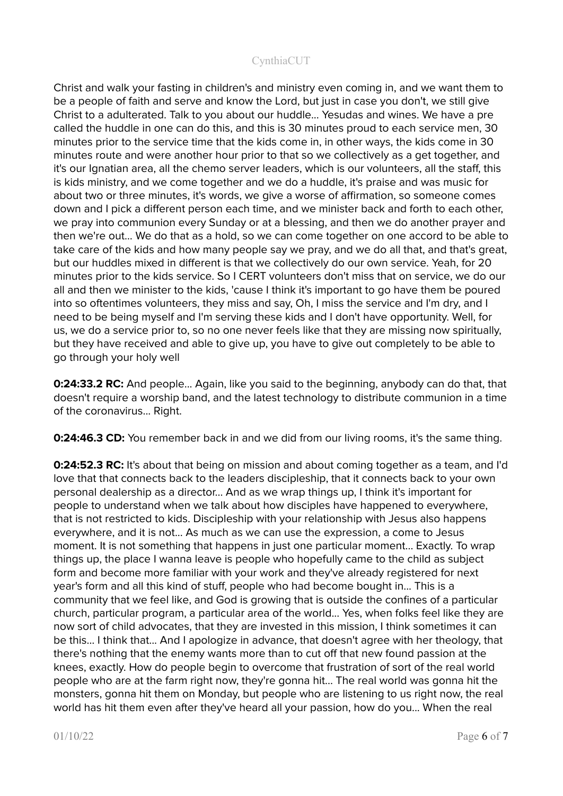Christ and walk your fasting in children's and ministry even coming in, and we want them to be a people of faith and serve and know the Lord, but just in case you don't, we still give Christ to a adulterated. Talk to you about our huddle... Yesudas and wines. We have a pre called the huddle in one can do this, and this is 30 minutes proud to each service men, 30 minutes prior to the service time that the kids come in, in other ways, the kids come in 30 minutes route and were another hour prior to that so we collectively as a get together, and it's our Ignatian area, all the chemo server leaders, which is our volunteers, all the staff, this is kids ministry, and we come together and we do a huddle, it's praise and was music for about two or three minutes, it's words, we give a worse of affirmation, so someone comes down and I pick a different person each time, and we minister back and forth to each other, we pray into communion every Sunday or at a blessing, and then we do another prayer and then we're out… We do that as a hold, so we can come together on one accord to be able to take care of the kids and how many people say we pray, and we do all that, and that's great, but our huddles mixed in different is that we collectively do our own service. Yeah, for 20 minutes prior to the kids service. So I CERT volunteers don't miss that on service, we do our all and then we minister to the kids, 'cause I think it's important to go have them be poured into so oftentimes volunteers, they miss and say, Oh, I miss the service and I'm dry, and I need to be being myself and I'm serving these kids and I don't have opportunity. Well, for us, we do a service prior to, so no one never feels like that they are missing now spiritually, but they have received and able to give up, you have to give out completely to be able to go through your holy well

**0:24:33.2 RC:** And people... Again, like you said to the beginning, anybody can do that, that doesn't require a worship band, and the latest technology to distribute communion in a time of the coronavirus... Right.

**0:24:46.3 CD:** You remember back in and we did from our living rooms, it's the same thing.

**0:24:52.3 RC:** It's about that being on mission and about coming together as a team, and I'd love that that connects back to the leaders discipleship, that it connects back to your own personal dealership as a director... And as we wrap things up, I think it's important for people to understand when we talk about how disciples have happened to everywhere, that is not restricted to kids. Discipleship with your relationship with Jesus also happens everywhere, and it is not... As much as we can use the expression, a come to Jesus moment. It is not something that happens in just one particular moment... Exactly. To wrap things up, the place I wanna leave is people who hopefully came to the child as subject form and become more familiar with your work and they've already registered for next year's form and all this kind of stuff, people who had become bought in... This is a community that we feel like, and God is growing that is outside the confines of a particular church, particular program, a particular area of the world... Yes, when folks feel like they are now sort of child advocates, that they are invested in this mission, I think sometimes it can be this… I think that... And I apologize in advance, that doesn't agree with her theology, that there's nothing that the enemy wants more than to cut off that new found passion at the knees, exactly. How do people begin to overcome that frustration of sort of the real world people who are at the farm right now, they're gonna hit... The real world was gonna hit the monsters, gonna hit them on Monday, but people who are listening to us right now, the real world has hit them even after they've heard all your passion, how do you... When the real